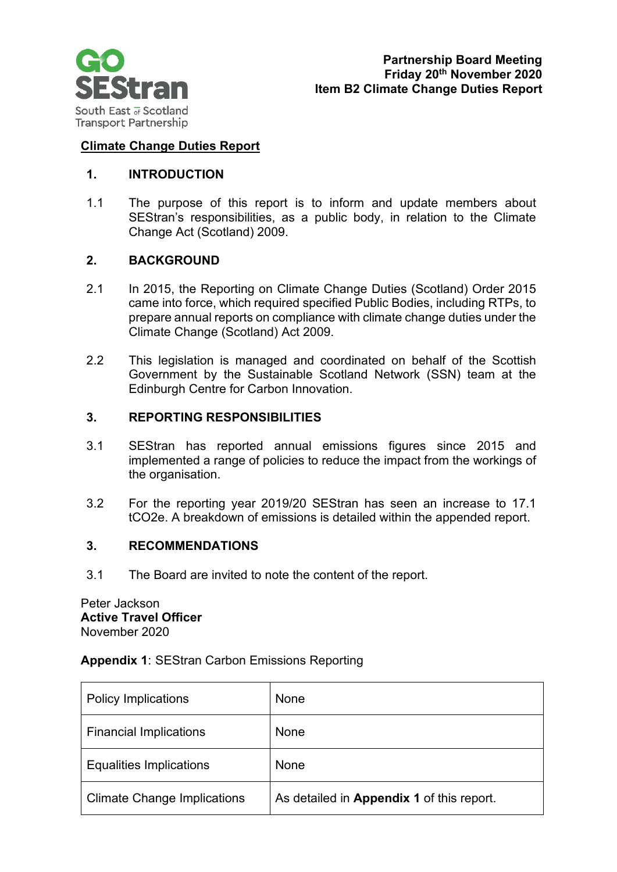

## **Climate Change Duties Report**

## **1. INTRODUCTION**

1.1 The purpose of this report is to inform and update members about SEStran's responsibilities, as a public body, in relation to the Climate Change Act (Scotland) 2009.

## **2. BACKGROUND**

- 2.1 In 2015, the Reporting on Climate Change Duties (Scotland) Order 2015 came into force, which required specified Public Bodies, including RTPs, to prepare annual reports on compliance with climate change duties under the Climate Change (Scotland) Act 2009.
- 2.2 This legislation is managed and coordinated on behalf of the Scottish Government by the Sustainable Scotland Network (SSN) team at the Edinburgh Centre for Carbon Innovation.

#### **3. REPORTING RESPONSIBILITIES**

- 3.1 SEStran has reported annual emissions figures since 2015 and implemented a range of policies to reduce the impact from the workings of the organisation.
- 3.2 For the reporting year 2019/20 SEStran has seen an increase to 17.1 tCO2e. A breakdown of emissions is detailed within the appended report.

## **3. RECOMMENDATIONS**

3.1 The Board are invited to note the content of the report.

Peter Jackson **Active Travel Officer** November 2020

#### **Appendix 1**: SEStran Carbon Emissions Reporting

| <b>Policy Implications</b>         | None                                      |
|------------------------------------|-------------------------------------------|
| <b>Financial Implications</b>      | None                                      |
| <b>Equalities Implications</b>     | None                                      |
| <b>Climate Change Implications</b> | As detailed in Appendix 1 of this report. |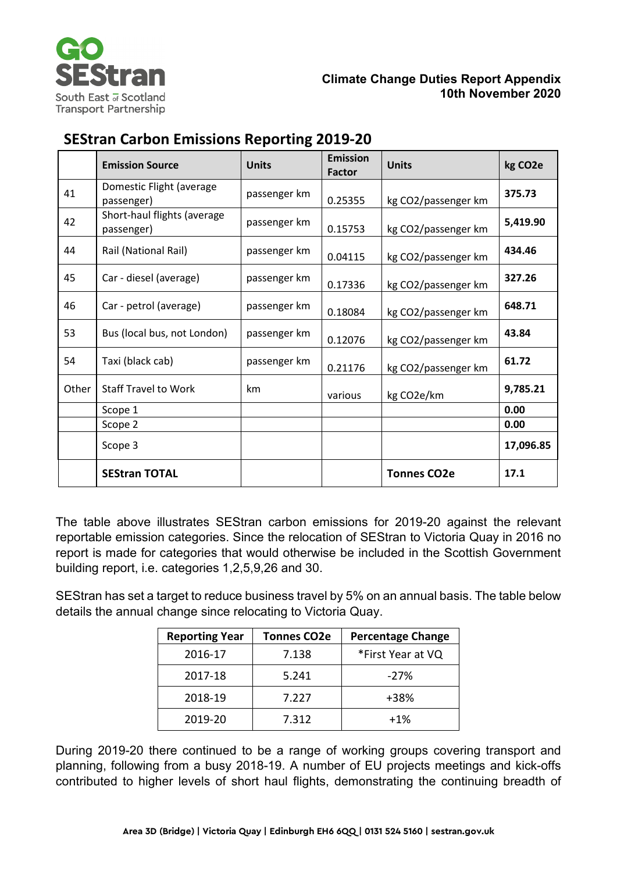

## **Climate Change Duties Report Appendix 10th November 2020**

# **SEStran Carbon Emissions Reporting 2019-20**

|       | <b>Emission Source</b>                    | <b>Units</b> | <b>Emission</b><br><b>Factor</b> | <b>Units</b>        | kg CO <sub>2</sub> e |
|-------|-------------------------------------------|--------------|----------------------------------|---------------------|----------------------|
| 41    | Domestic Flight (average<br>passenger)    | passenger km | 0.25355                          | kg CO2/passenger km | 375.73               |
| 42    | Short-haul flights (average<br>passenger) | passenger km | 0.15753                          | kg CO2/passenger km | 5,419.90             |
| 44    | Rail (National Rail)                      | passenger km | 0.04115                          | kg CO2/passenger km | 434.46               |
| 45    | Car - diesel (average)                    | passenger km | 0.17336                          | kg CO2/passenger km | 327.26               |
| 46    | Car - petrol (average)                    | passenger km | 0.18084                          | kg CO2/passenger km | 648.71               |
| 53    | Bus (local bus, not London)               | passenger km | 0.12076                          | kg CO2/passenger km | 43.84                |
| 54    | Taxi (black cab)                          | passenger km | 0.21176                          | kg CO2/passenger km | 61.72                |
| Other | <b>Staff Travel to Work</b>               | km           | various                          | kg CO2e/km          | 9,785.21             |
|       | Scope 1                                   |              |                                  |                     | 0.00                 |
|       | Scope 2                                   |              |                                  |                     | 0.00                 |
|       | Scope 3                                   |              |                                  |                     | 17,096.85            |
|       | <b>SEStran TOTAL</b>                      |              |                                  | <b>Tonnes CO2e</b>  | 17.1                 |

The table above illustrates SEStran carbon emissions for 2019-20 against the relevant reportable emission categories. Since the relocation of SEStran to Victoria Quay in 2016 no report is made for categories that would otherwise be included in the Scottish Government building report, i.e. categories 1,2,5,9,26 and 30.

SEStran has set a target to reduce business travel by 5% on an annual basis. The table below details the annual change since relocating to Victoria Quay.

| <b>Reporting Year</b> | <b>Tonnes CO2e</b> | <b>Percentage Change</b> |
|-----------------------|--------------------|--------------------------|
| 2016-17               | 7.138              | *First Year at VQ        |
| 2017-18               | 5.241              | $-27%$                   |
| 2018-19               | 7.227              | +38%                     |
| 2019-20               | 7.312              | $+1%$                    |

During 2019-20 there continued to be a range of working groups covering transport and planning, following from a busy 2018-19. A number of EU projects meetings and kick-offs contributed to higher levels of short haul flights, demonstrating the continuing breadth of